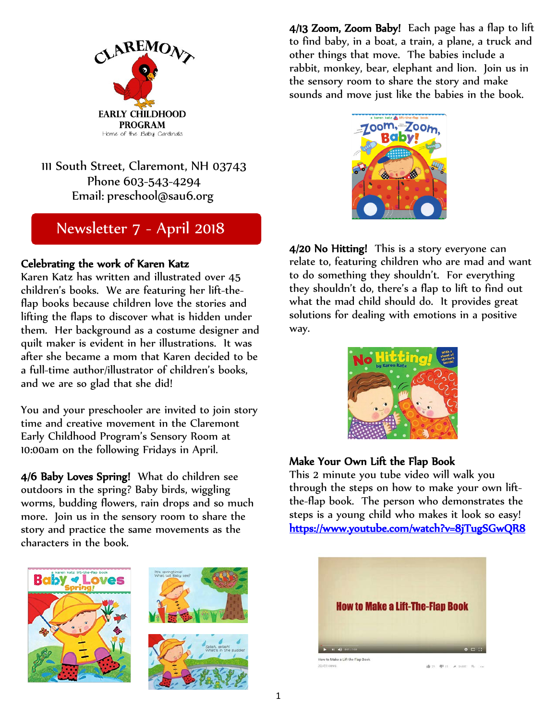

111 South Street, Claremont, NH 03743 Phone 603-543-4294 Email: [preschool@sau6.org](mailto:preschool@sau6.org)

# Newsletter 7 - April 2018

## Celebrating the work of Karen Katz

Karen Katz has written and illustrated over 45 children's books. We are featuring her lift-theflap books because children love the stories and lifting the flaps to discover what is hidden under them. Her background as a costume designer and quilt maker is evident in her illustrations. It was after she became a mom that Karen decided to be a full-time author/illustrator of children's books, and we are so glad that she did!

You and your preschooler are invited to join story time and creative movement in the Claremont Early Childhood Program's Sensory Room at 10:00am on the following Fridays in April.

4/6 Baby Loves Spring! What do children see outdoors in the spring? Baby birds, wiggling worms, budding flowers, rain drops and so much more. Join us in the sensory room to share the story and practice the same movements as the characters in the book.







4/13 Zoom, Zoom Baby! Each page has a flap to lift to find baby, in a boat, a train, a plane, a truck and other things that move. The babies include a rabbit, monkey, bear, elephant and lion. Join us in the sensory room to share the story and make sounds and move just like the babies in the book.



4/20 No Hitting! This is a story everyone can relate to, featuring children who are mad and want to do something they shouldn't. For everything they shouldn't do, there's a flap to lift to find out what the mad child should do. It provides great solutions for dealing with emotions in a positive way.



## Make Your Own Lift the Flap Book

This 2 minute you tube video will walk you through the steps on how to make your own liftthe-flap book. The person who demonstrates the steps is a young child who makes it look so easy! <https://www.youtube.com/watch?v=8jTugSGwQR8>